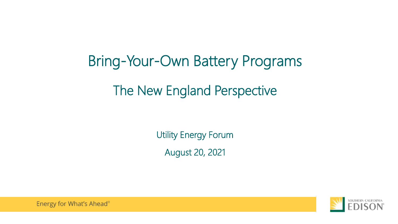# Bring-Your-Own Battery Programs The New England Perspective

Utility Energy Forum August 20, 2021



Energy for What's Ahead®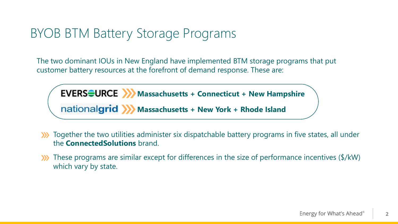### BYOB BTM Battery Storage Programs

The two dominant IOUs in New England have implemented BTM storage programs that put customer battery resources at the forefront of demand response. These are:

**EVERS EURCE >>>** Massachusetts + Connecticut + New Hampshire **Massachusetts + New York + Rhode Island** 

- Together the two utilities administer six dispatchable battery programs in five states, all under  $\sum$ the **ConnectedSolutions** brand.
- These programs are similar except for differences in the size of performance incentives (\$/kW)  $\sum$ which vary by state.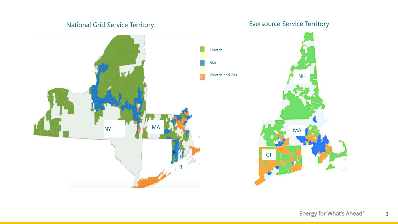### National Grid Service Territory **Exercise Service Territory** Eversource Service Territory

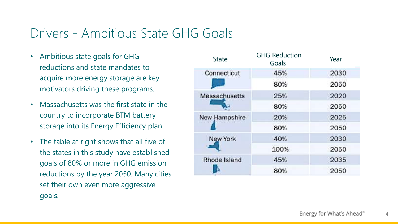### Drivers - Ambitious State GHG Goals

- Ambitious state goals for GHG reductions and state mandates to acquire more energy storage are key motivators driving these programs.
- Massachusetts was the first state in the country to incorporate BTM battery storage into its Energy Efficiency plan.
- The table at right shows that all five of the states in this study have established goals of 80% or more in GHG emission reductions by the year 2050. Many cities set their own even more aggressive goals.

| <b>State</b>  | <b>GHG Reduction</b><br>Goals | Year |  |
|---------------|-------------------------------|------|--|
| Connecticut   | 45%                           | 2030 |  |
|               | 80%                           | 2050 |  |
| Massachusetts | 25%                           | 2020 |  |
|               | 80%                           | 2050 |  |
| New Hampshire | 20%                           | 2025 |  |
|               | 80%                           | 2050 |  |
| New York      | 40%                           | 2030 |  |
|               | 100%                          | 2050 |  |
| Rhode Island  | 45%                           | 2035 |  |
|               | 80%                           | 2050 |  |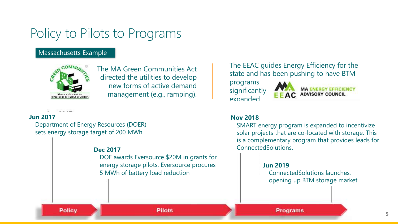### Policy to Pilots to Programs

#### Massachusetts Example



The MA Green Communities Act directed the utilities to develop new forms of active demand management (e.g., ramping).

#### **Jun 2017**

Department of Energy Resources (DOER) sets energy storage target of 200 MWh

DOE awards Eversource \$20M in grants for energy storage pilots. Eversource procures 5 MWh of battery load reduction

#### The EEAC guides Energy Efficiency for the state and has been pushing to have BTM

programs significantly **expanded** 



#### **Nov 2018**

SMART energy program is expanded to incentivize solar projects that are co-located with storage. This is a complementary program that provides leads for **Dec 2017** ConnectedSolutions.

#### **Jun 2019**

ConnectedSolutions launches, opening up BTM storage market

#### **Policy**

**Programs**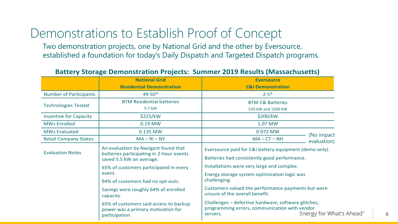### Demonstrations to Establish Proof of Concept

Two demonstration projects, one by National Grid and the other by Eversource, established a foundation for today's Daily Dispatch and Targeted Dispatch programs.

#### **Battery Storage Demonstration Projects: Summer 2019 Results (Massachusetts)**

|                               | <b>National Grid</b>                                                                                         | <b>Eversource</b>                                                                                                                           |  |  |
|-------------------------------|--------------------------------------------------------------------------------------------------------------|---------------------------------------------------------------------------------------------------------------------------------------------|--|--|
|                               | <b>Residential Demonstration</b>                                                                             | <b>C&amp;I Demonstration</b>                                                                                                                |  |  |
| <b>Number of Participants</b> | $49 - 50*$                                                                                                   | $2 - 5*$                                                                                                                                    |  |  |
| <b>Technologies Tested</b>    | <b>BTM Residential batteries</b>                                                                             | <b>BTM C&amp; Batteries</b>                                                                                                                 |  |  |
|                               | 5-7 kW                                                                                                       | 520 kW and 1500 kW                                                                                                                          |  |  |
| <b>Incentive for Capacity</b> | \$225/kW                                                                                                     | \$200/kW                                                                                                                                    |  |  |
| <b>MWs Enrolled</b>           | 0.19 MW                                                                                                      | 1.07 MW                                                                                                                                     |  |  |
| <b>MWs Evaluated</b>          | 0.135 MW                                                                                                     | 0.972 MW<br>(No impact                                                                                                                      |  |  |
| <b>Retail Company States</b>  | $MA - RI - NY$                                                                                               | $MA - CT - NH$<br>evaluation)                                                                                                               |  |  |
| <b>Evaluation Notes</b>       | An evaluation by Navigant found that<br>batteries participating in 2-hour events<br>saved 5.5 kW on average. | Eversource paid for C&I battery equipment (demo only).<br>Batteries had consistently good performance.                                      |  |  |
|                               | 65% of customers participated in every                                                                       | Installations were very large and complex.                                                                                                  |  |  |
|                               | event.                                                                                                       | Energy storage system optimization logic was<br>challenging.                                                                                |  |  |
|                               | 94% of customers had no opt-outs.                                                                            |                                                                                                                                             |  |  |
|                               | Savings were roughly 64% of enrolled<br>capacity.                                                            | Customers valued the performance payments but were<br>unsure of the overall benefit.                                                        |  |  |
|                               | 65% of customers said access to backup<br>power was a primary motivation for<br>participation.               | Challenges - defective hardware, software glitches,<br>programming errors, communication with vendor<br>Energy for What's Aheac<br>servers. |  |  |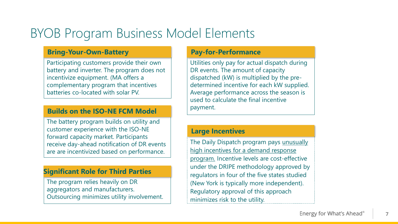### BYOB Program Business Model Elements

#### **Bring-Your-Own-Battery**

Participating customers provide their own battery and inverter. The program does not incentivize equipment. (MA offers a complementary program that incentives batteries co-located with solar PV.

#### **Builds on the ISO-NE FCM Model**

The battery program builds on utility and customer experience with the ISO-NE forward capacity market. Participants receive day-ahead notification of DR events are are incentivized based on performance.

#### **Significant Role for Third Parties**

The program relies heavily on DR aggregators and manufacturers. Outsourcing minimizes utility involvement.

#### **Pay-for-Performance**

Utilities only pay for actual dispatch during DR events. The amount of capacity dispatched (kW) is multiplied by the predetermined incentive for each kW supplied. Average performance across the season is used to calculate the final incentive payment.

#### **Large Incentives**

The Daily Dispatch program pays unusually high incentives for a demand response program. Incentive levels are cost-effective under the DRIPE methodology approved by regulators in four of the five states studied (New York is typically more independent). Regulatory approval of this approach minimizes risk to the utility.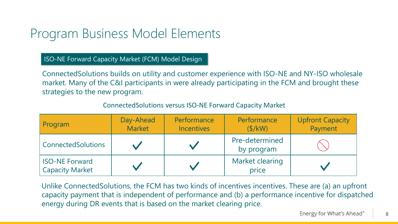### Program Business Model Elements

ISO-NE Forward Capacity Market (FCM) Model Design

ConnectedSolutions builds on utility and customer experience with ISO-NE and NY-ISO wholesale market. Many of the C&I participants in were already participating in the FCM and brought these strategies to the new program.

| Program                                  | Day-Ahead<br><b>Market</b> | Performance<br><b>Incentives</b> | Performance<br>(S/KW)        | <b>Upfront Capacity</b><br>Payment |
|------------------------------------------|----------------------------|----------------------------------|------------------------------|------------------------------------|
| <b>ConnectedSolutions</b>                |                            |                                  | Pre-determined<br>by program |                                    |
| <b>ISO-NE Forward</b><br>Capacity Market |                            |                                  | Market clearing<br>price     |                                    |

### ConnectedSolutions versus ISO-NE Forward Capacity Market

Unlike ConnectedSolutions, the FCM has two kinds of incentives incentives. These are (a) an upfront capacity payment that is independent of performance and (b) a performance incentive for dispatched energy during DR events that is based on the market clearing price.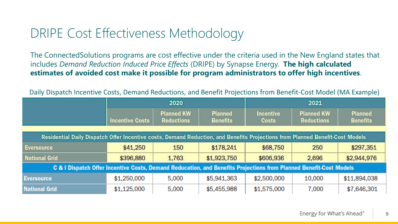### DRIPE Cost Effectiveness Methodology

The ConnectedSolutions programs are cost effective under the criteria used in the New England states that includes *Demand Reduction Induced Price Effects* (DRIPE) by Synapse Energy. **The high calculated estimates of avoided cost make it possible for program administrators to offer high incentives**.

Daily Dispatch Incentive Costs, Demand Reductions, and Benefit Projections from Benefit-Cost Model (MA Example)

|                                                                                                                               | 2020                   |                                        |                                   | 2021                      |                                        |                                   |  |
|-------------------------------------------------------------------------------------------------------------------------------|------------------------|----------------------------------------|-----------------------------------|---------------------------|----------------------------------------|-----------------------------------|--|
|                                                                                                                               | <b>Incentive Costs</b> | <b>Planned KW</b><br><b>Reductions</b> | <b>Planned</b><br><b>Benefits</b> | Incentive<br><b>Costs</b> | <b>Planned KW</b><br><b>Reductions</b> | <b>Planned</b><br><b>Benefits</b> |  |
| Residential Daily Dispatch Offer Incentive costs, Demand Reduction, and Benefits Projections from Planned Benefit-Cost Models |                        |                                        |                                   |                           |                                        |                                   |  |
| <b>Eversource</b>                                                                                                             | \$41,250               | 150                                    | \$178,241                         | \$68,750                  | 250                                    | \$297,351                         |  |
| <b>National Grid</b>                                                                                                          | \$396,880              | 1,763                                  | \$1,923,750                       | \$606,936                 | 2,696                                  | \$2,944,976                       |  |
| C & I Dispatch Offer Incentive Costs, Demand Reducation, and Benefits Projections from Planned Benefit-Cost Models            |                        |                                        |                                   |                           |                                        |                                   |  |
| <b>Eversource</b>                                                                                                             | \$1,250,000            | 5,000                                  | \$5,941,363                       | \$2,500,000               | 10,000                                 | \$11,894,038                      |  |
| <b>National Grid</b>                                                                                                          | \$1,125,000            | 5,000                                  | \$5,455,988                       | \$1,575,000               | 7,000                                  | \$7,646,301                       |  |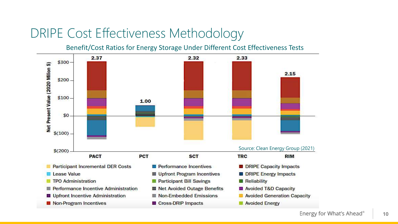### DRIPE Cost Effectiveness Methodology

Benefit/Cost Ratios for Energy Storage Under Different Cost Effectiveness Tests

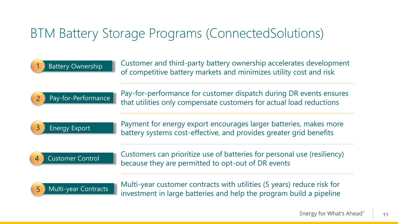### BTM Battery Storage Programs (ConnectedSolutions)

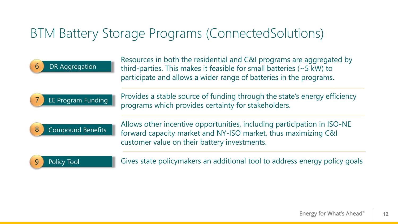### BTM Battery Storage Programs (ConnectedSolutions)

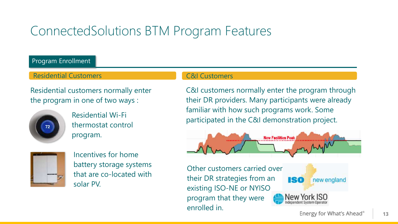### ConnectedSolutions BTM Program Features

Program Enrollment

Residential Customers **CAL CAL CUSTOMERS** CALCUST CALCUST CALCUST CALCUST CALCUST CALCUST CALCUST CALCUST CALCUST

Residential customers normally enter the program in one of two ways :



Residential Wi-Fi thermostat control program.



Incentives for home battery storage systems that are co-located with solar PV.

#### C&I Customers

C&I customers normally enter the program through their DR providers. Many participants were already familiar with how such programs work. Some participated in the C&I demonstration project.



Other customers carried over their DR strategies from an existing ISO-NE or NYISO program that they were enrolled in.



Energy for What's Ahead®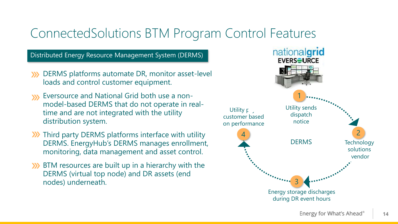### ConnectedSolutions BTM Program Control Features

Distributed Energy Resource Management System (DERMS)

- **XX** DERMS platforms automate DR, monitor asset-level loads and control customer equipment.
- Eversource and National Grid both use a non- $\mathbf{W}$ model-based DERMS that do not operate in realtime and are not integrated with the utility distribution system.
- **XX** Third party DERMS platforms interface with utility DERMS. EnergyHub's DERMS manages enrollment, monitoring, data management and asset control.
- **XX** BTM resources are built up in a hierarchy with the DERMS (virtual top node) and DR assets (end nodes) underneath.

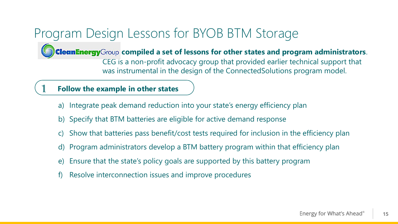## Program Design Lessons for BYOB BTM Storage

**CleanEnergy** Group compiled a set of lessons for other states and program administrators.

CEG is a non-profit advocacy group that provided earlier technical support that was instrumental in the design of the ConnectedSolutions program model.

### 1 **Follow the example in other states**

- a) Integrate peak demand reduction into your state's energy efficiency plan
- b) Specify that BTM batteries are eligible for active demand response
- Show that batteries pass benefit/cost tests required for inclusion in the efficiency plan
- d) Program administrators develop a BTM battery program within that efficiency plan
- e) Ensure that the state's policy goals are supported by this battery program
- f) Resolve interconnection issues and improve procedures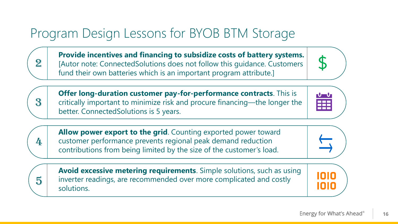## Program Design Lessons for BYOB BTM Storage

2

3

4

5

**Provide incentives and financing to subsidize costs of battery systems.**  [Autor note: ConnectedSolutions does not follow this guidance. Customers fund their own batteries which is an important program attribute.]

**Offer long-duration customer pay-for-performance contracts**. This is critically important to minimize risk and procure financing—the longer the better. ConnectedSolutions is 5 years.

**Allow power export to the grid**. Counting exported power toward customer performance prevents regional peak demand reduction contributions from being limited by the size of the customer's load.

**Avoid excessive metering requirements**. Simple solutions, such as using inverter readings, are recommended over more complicated and costly solutions.









OIO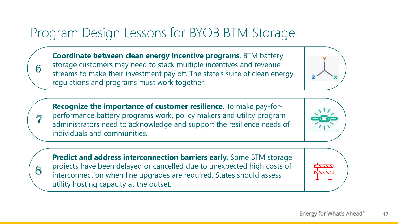## Program Design Lessons for BYOB BTM Storage

**Coordinate between clean energy incentive programs**. BTM battery storage customers may need to stack multiple incentives and revenue streams to make their investment pay off. The state's suite of clean energy regulations and programs must work together.

**Recognize the importance of customer resilience**. To make pay-forperformance battery programs work, policy makers and utility program administrators need to acknowledge and support the resilience needs of individuals and communities.

**Predict and address interconnection barriers early**. Some BTM storage projects have been delayed or cancelled due to unexpected high costs of interconnection when line upgrades are required. States should assess utility hosting capacity at the outset.











6